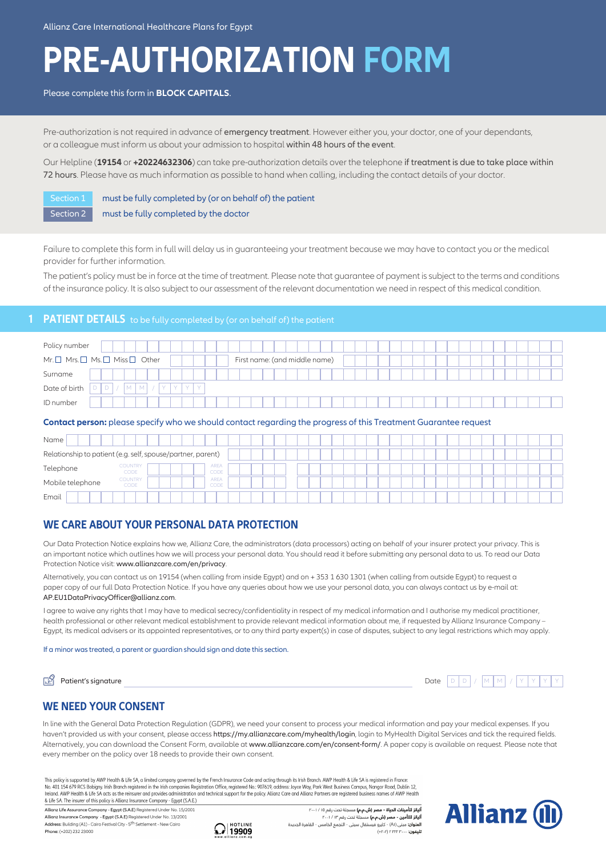# **PRE-AUTHORIZATION FORM**

### Please complete this form in **BLOCK CAPITALS**.

Pre-authorization is not required in advance of emergency treatment. However either you, your doctor, one of your dependants, or a colleague must inform us about your admission to hospital within 48 hours of the event.

Our Helpline (**19154** or **+20224632306**) can take pre-authorization details over the telephone if treatment is due to take place within 72 hours. Please have as much information as possible to hand when calling, including the contact details of your doctor.

Section 1 must be fully completed by (or on behalf of) the patient Section 2 must be fully completed by the doctor

Failure to complete this form in full will delay us in guaranteeing your treatment because we may have to contact you or the medical provider for further information.

The patient's policy must be in force at the time of treatment. Please note that guarantee of payment is subject to the terms and conditions of the insurance policy. It is also subject to our assessment of the relevant documentation we need in respect of this medical condition.

## **PATIENT DETAILS** to be fully completed by (or on behalf of) the patient

| Policy number                                                                               |                               |  |
|---------------------------------------------------------------------------------------------|-------------------------------|--|
| $Mr. \Box$ Mrs. $\Box$ Ms. $\Box$ Miss $\Box$ Other                                         | First name: (and middle name) |  |
| Surname                                                                                     |                               |  |
| Date of birth<br>$\triangleright$<br>D<br>V.<br>$\mathsf{M}$<br>V.<br>AZ.<br>M <sub>1</sub> |                               |  |
| ID number                                                                                   |                               |  |

#### **Contact person:** please specify who we should contact regarding the progress of this Treatment Guarantee request

| Name                                                        |                        |                     |  |  |  |  |  |  |  |  |
|-------------------------------------------------------------|------------------------|---------------------|--|--|--|--|--|--|--|--|
| Relationship to patient (e.g. self, spouse/partner, parent) |                        |                     |  |  |  |  |  |  |  |  |
| Telephone                                                   | <b>COUNTRY</b><br>CODE | <b>AREA</b><br>CODE |  |  |  |  |  |  |  |  |
| Mobile telephone                                            | <b>COUNTRY</b><br>CODE | <b>AREA</b><br>CODE |  |  |  |  |  |  |  |  |
| Email                                                       |                        |                     |  |  |  |  |  |  |  |  |

## **WE CARE ABOUT YOUR PERSONAL DATA PROTECTION**

Our Data Protection Notice explains how we, Allianz Care, the administrators (data processors) acting on behalf of your insurer protect your privacy. This is an important notice which outlines how we will process your personal data. You should read it before submitting any personal data to us. To read our Data Protection Notice visit: www.allianzcare.com/en/privacy.

Alternatively, you can contact us on 19154 (when calling from inside Egypt) and on + 353 1 630 1301 (when calling from outside Egypt) to request a paper copy of our full Data Protection Notice. If you have any queries about how we use your personal data, you can always contact us by e-mail at: AP.EU1DataPrivacyOfficer@allianz.com.

I agree to waive any rights that I may have to medical secrecy/confidentiality in respect of my medical information and I authorise my medical practitioner, health professional or other relevant medical establishment to provide relevant medical information about me, if requested by Allianz Insurance Company – Egypt, its medical advisers or its appointed representatives, or to any third party expert(s) in case of disputes, subject to any legal restrictions which may apply.

#### If a minor was treated, a parent or guardian should sign and date this section.

гЯ Patient's signature Date  $D$  $D$  /  $M$  $M$  /  $Y$   $Y$   $Y$ 

## **WE NEED YOUR CONSENT**

In line with the General Data Protection Regulation (GDPR), we need your consent to process your medical information and pay your medical expenses. If you haven't provided us with your consent, please access https://my.allianzcare.com/myhealth/login, login to MyHealth Digital Services and tick the required fields. Alternatively, you can download the Consent Form, available at www.allianzcare.com/en/consent-form/. A paper copy is available on request. Please note that every member on the policy over 18 needs to provide their own consent.

This policy is supported by AWP Health & Life SA, a limited company governed by the French Insurance Code and acting through its Irish Branch. AWP Health & Life SA is registered in France No. 401 154 679 RCS Bobigny. Irish Branch registered in the Irish companies Registration Office, registered No.: 907619, address: Joyce Way, Park West Business Campus, Nangor Road, Dublin 12, Ireland. AWP Health & Life SA & Life SA. The insurer of this policy is Allianz Insurance Company - Egypt (S.A.E.)

Allianz Life Assurance Company - Egypt (S.A.E) Registered Under No. 15/2001 Allianz Insurance Company - Egypt (S.A.E) Registered Under No. 13/2001 Address: Building (A1) - Cairo Festival City - 5<sup>th</sup> Settlement - New Cairo Phone: (+202) 232 23000



**أليانز لتأمينات الحياة - مصر (ش.م.م)** مسجلة تحت رقم ١٥ / ٢٠٠١<br>**أليانز للتأمين - مصر (ش.م.م)** مسجلة تحت رقم ١٣ / ٢٠٠١